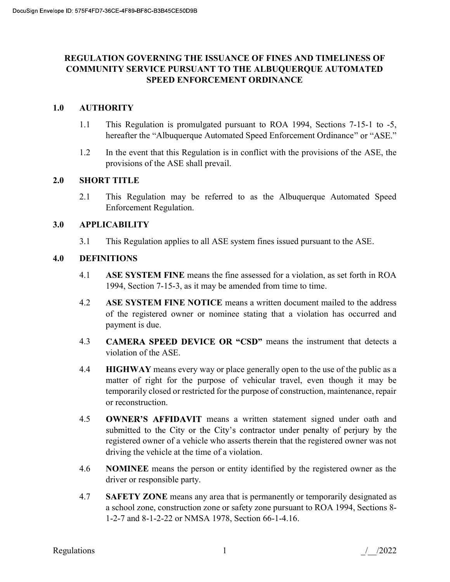# REGULATION GOVERNING THE ISSUANCE OF FINES AND TIMELINESS OF COMMUNITY SERVICE PURSUANT TO THE ALBUQUERQUE AUTOMATED SPEED ENFORCEMENT ORDINANCE

# 1.0 AUTHORITY

- 1.1 This Regulation is promulgated pursuant to ROA 1994, Sections 7-15-1 to -5, hereafter the "Albuquerque Automated Speed Enforcement Ordinance" or "ASE."
- 1.2 In the event that this Regulation is in conflict with the provisions of the ASE, the provisions of the ASE shall prevail.

### 2.0 SHORT TITLE

2.1 This Regulation may be referred to as the Albuquerque Automated Speed Enforcement Regulation.

# 3.0 APPLICABILITY

3.1 This Regulation applies to all ASE system fines issued pursuant to the ASE.

# 4.0 DEFINITIONS

- 4.1 ASE SYSTEM FINE means the fine assessed for a violation, as set forth in ROA 1994, Section 7-15-3, as it may be amended from time to time.
- 4.2 ASE SYSTEM FINE NOTICE means a written document mailed to the address of the registered owner or nominee stating that a violation has occurred and payment is due.
- 4.3 CAMERA SPEED DEVICE OR "CSD" means the instrument that detects a violation of the ASE.
- 4.4 **HIGHWAY** means every way or place generally open to the use of the public as a matter of right for the purpose of vehicular travel, even though it may be temporarily closed or restricted for the purpose of construction, maintenance, repair or reconstruction.
- 4.5 **OWNER'S AFFIDAVIT** means a written statement signed under oath and submitted to the City or the City's contractor under penalty of perjury by the registered owner of a vehicle who asserts therein that the registered owner was not driving the vehicle at the time of a violation.
- 4.6 NOMINEE means the person or entity identified by the registered owner as the driver or responsible party.
- 4.7 SAFETY ZONE means any area that is permanently or temporarily designated as a school zone, construction zone or safety zone pursuant to ROA 1994, Sections 8- 1-2-7 and 8-1-2-22 or NMSA 1978, Section 66-1-4.16.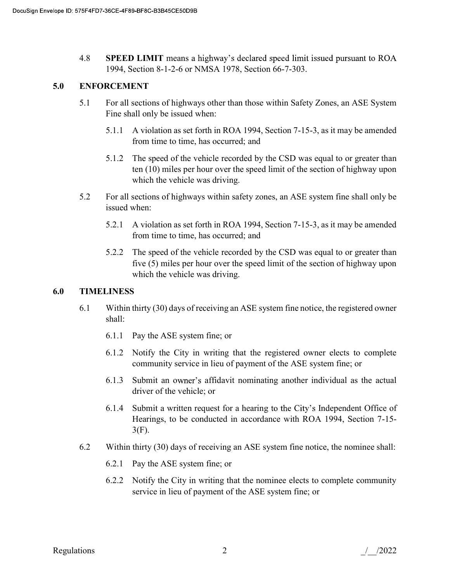4.8 **SPEED LIMIT** means a highway's declared speed limit issued pursuant to ROA 1994, Section 8-1-2-6 or NMSA 1978, Section 66-7-303.

# 5.0 ENFORCEMENT

- 5.1 For all sections of highways other than those within Safety Zones, an ASE System Fine shall only be issued when:
	- 5.1.1 A violation as set forth in ROA 1994, Section 7-15-3, as it may be amended from time to time, has occurred; and
	- 5.1.2 The speed of the vehicle recorded by the CSD was equal to or greater than ten (10) miles per hour over the speed limit of the section of highway upon which the vehicle was driving.
- 5.2 For all sections of highways within safety zones, an ASE system fine shall only be issued when:
	- 5.2.1 A violation as set forth in ROA 1994, Section 7-15-3, as it may be amended from time to time, has occurred; and
	- 5.2.2 The speed of the vehicle recorded by the CSD was equal to or greater than five (5) miles per hour over the speed limit of the section of highway upon which the vehicle was driving.

### 6.0 TIMELINESS

- 6.1 Within thirty (30) days of receiving an ASE system fine notice, the registered owner shall:
	- 6.1.1 Pay the ASE system fine; or
	- 6.1.2 Notify the City in writing that the registered owner elects to complete community service in lieu of payment of the ASE system fine; or
	- $6.1.3$  Submit an owner's affidavit nominating another individual as the actual driver of the vehicle; or
	- 6.1.4 Submit a written request for a hearing to the City's Independent Office of Hearings, to be conducted in accordance with ROA 1994, Section 7-15- 3(F).
- 6.2 Within thirty (30) days of receiving an ASE system fine notice, the nominee shall:
	- 6.2.1 Pay the ASE system fine; or
	- 6.2.2 Notify the City in writing that the nominee elects to complete community service in lieu of payment of the ASE system fine; or